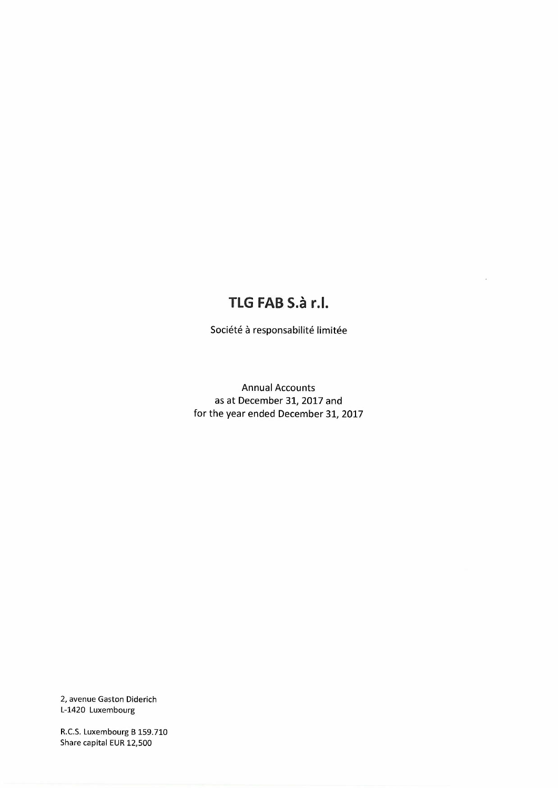# **TLG FAB S.a rJ.**

Société à responsabilité limitée

Annual Accounts as at December 31,2017 and for the year ended December 31,2017

2, avenue Gaston Diderich L-1420 Luxembourg

R.C.S.Luxembourg B 159.710 Share capital EUR 12,500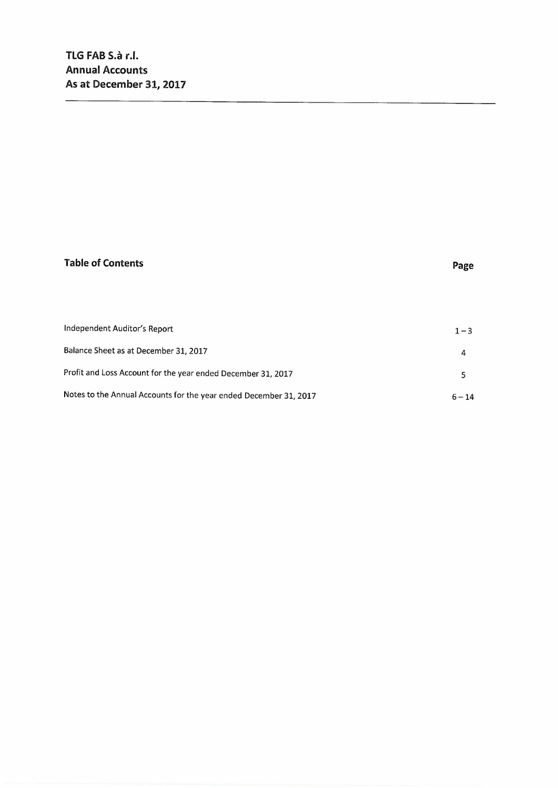# **Table of Contents Page**

| Independent Auditor's Report                                      | $1 - 3$  |
|-------------------------------------------------------------------|----------|
| Balance Sheet as at December 31, 2017                             | 4        |
| Profit and Loss Account for the year ended December 31, 2017      |          |
| Notes to the Annual Accounts for the year ended December 31, 2017 | $6 - 14$ |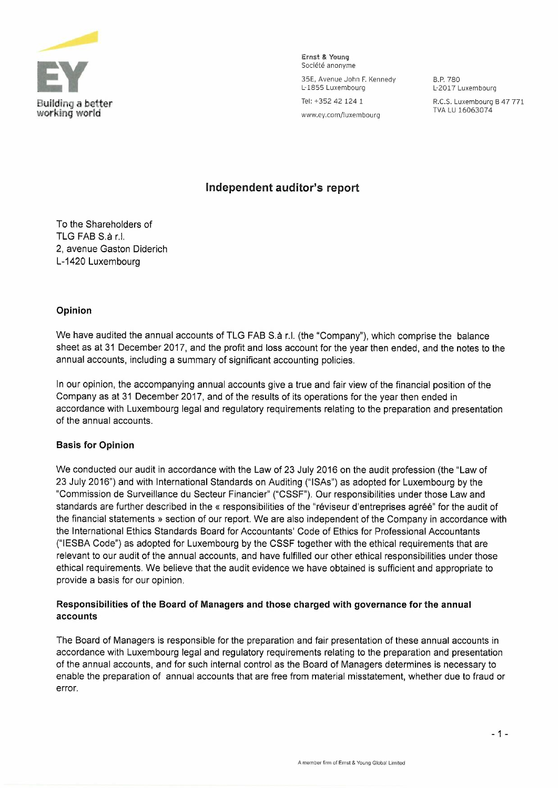

Ernst 8, Young Société anonyme 35E, Avenue John F. Kennedy L-1855 Luxembourg Tel: +352 421241 www.ey.com/luxembourg

B.P.780 L-2017 Luxembourg R.C.S. Luxembourg B 47 771

TVA LU 16063074

### **Independent auditor's report**

To the Shareholders of TLG FAB S.8 r.1. 2, avenue Gaston Diderich L-1420 Luxembourg

### **Opinion**

We have audited the annual accounts of TLG FAB S.a r.l. (the "Company"), which comprise the balance sheet as at 31 December 2017, and the profit and loss account for the year then ended, and the notes to the annual accounts, including a summary of significant accounting policies.

In our opinion, the accompanying annual accounts give a true and fair view of the financial position of the Company as at 31 December 2017, and of the results of its operations for the year then ended in accordance with Luxembourg legal and regulatory requirements relating to the preparation and presentation of the annual accounts.

### **Basis for Opinion**

We conducted our audit in accordance with the Law of 23 July 2016 on the audit profession (the "Law of 23 July 2016") and with International Standards on Auditing ("ISAs") as adopted for Luxembourg by the "Commission de Surveillance du Secteur Financier" ("CSSF"). Our responsibilities under those Law and standards are further described in the « responsibilities of the "réviseur d'entreprises agréé" for the audit of the financial statements» section of our report. We are also independent of the Company in accordance with the International Ethics Standards Board for Accountants' Code of Ethics for Professional Accountants ("IESBA Code") as adopted for Luxembourg by the CSSF together with the ethical requirements that are relevant to our audit of the annual accounts, and have fulfilled our other ethical responsibilities under those ethical requirements. We believe that the audit evidence we have obtained is sufficient and appropriate to provide a basis for our opinion.

### **Responsibilities of the Board of Managers and those charged with governance for the annual accounts**

The Board of Managers is responsible for the preparation and fair presentation of these annual accounts in accordance with Luxembourg legal and regulatory requirements relating to the preparation and presentation of the annual accounts, and for such internal control as the Board of Managers determines is necessary to enable the preparation of annual accounts that are free from material misstatement, whether due to fraud or error.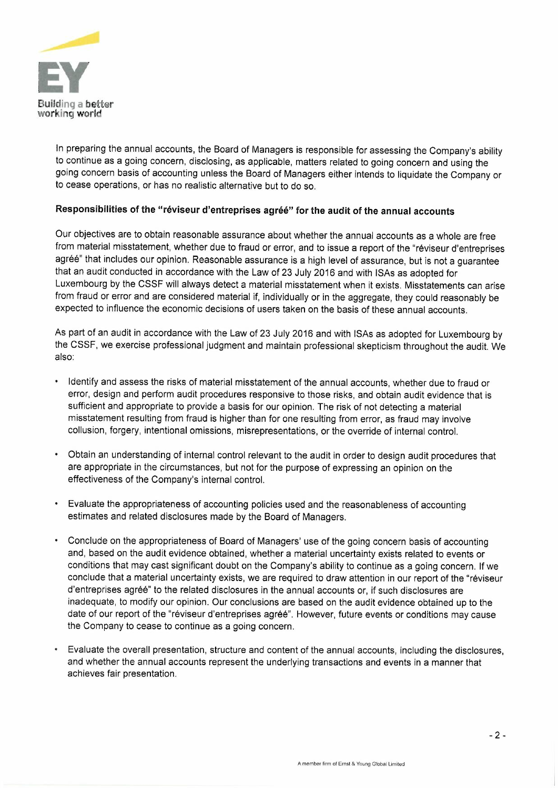

In preparing the annual accounts, the Board of Managers is responsible for assessing the Company's ability to continue as a going concern, disclosing, as applicable, matters related to going concern and using the going concern basis of accounting unless the Board of Managers either intends to liquidate the Company or to cease operations, or has no realistic alternative but to do so.

### **Responsibilities of the "reviseur d'entreprises agree" for the audit of the annual accounts**

Our objectives are to obtain reasonable assurance about whether the annual accounts as a whole are free from material misstatement, whether due to fraud or error, and to issue a report of the "réviseur d'entreprises agréé" that includes our opinion. Reasonable assurance is a high level of assurance, but is not a guarantee that an audit conducted in accordance with the Law of 23 July 2016 and with ISAs as adopted for Luxembourg by the CSSF will always detect a material misstatement when it exists. Misstatements can arise from fraud or error and are considered material if, individually or in the aggregate, they could reasonably be expected to influence the economic decisions of users taken on the basis of these annual accounts.

As part of an audit in accordance with the Law of 23 July 2016 and with ISAs as adopted for Luxembourg by the CSSF, we exercise professional judgment and maintain professional skepticism throughout the audit. We also:

- Identify and assess the risks of material misstatement of the annual accounts, whether due to fraud or error, design and perform audit procedures responsive to those risks, and obtain audit evidence that is sufficient and appropriate to provide a basis for our opinion. The risk of not detecting a material misstatement resulting from fraud is higher than for one resulting from error, as fraud may involve collusion, forgery, intentional omissions, misrepresentations, or the override of internal control.
- Obtain an understanding of internal control relevant to the audit in order to design audit procedures that are appropriate in the circumstances, but not for the purpose of expressing an opinion on the effectiveness of the Company's internal control.
- Evaluate the appropriateness of accounting policies used and the reasonableness of accounting estimates and related disclosures made by the Board of Managers.
- Conclude on the appropriateness of Board of Managers' use of the going concern basis of accounting and, based on the audit evidence obtained, whether a material uncertainty exists related to events or conditions that may cast significant doubt on the Company's ability to continue as a going concern. If we conclude that a material uncertainty exists, we are required to draw attention in our report of the "reviseur d'entreprises agréé" to the related disclosures in the annual accounts or, if such disclosures are inadequate, to modify our opinion. Our conclusions are based on the audit evidence obtained up to the date of our report of the "réviseur d'entreprises agréé". However, future events or conditions may cause the Company to cease to continue as a going concern.
- Evaluate the overall presentation, structure and content of the annual accounts, including the disclosures, and whether the annual accounts represent the underlying transactions and events in a manner that achieves fair presentation.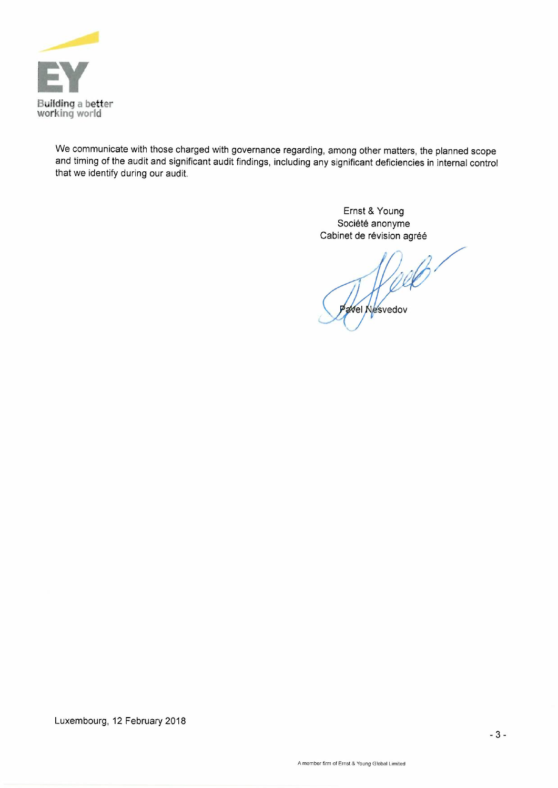

We communicate with those charged with governance regarding, among other matters, the planned scope and timing of the audit and significant audit findings, including any significant deficiencies in internal control that we identify during our audit.

> Ernst & Young Société anonyme Cabinet de révision agréé

/ Wel Nesvedov

Luxembourg, 12 February 2018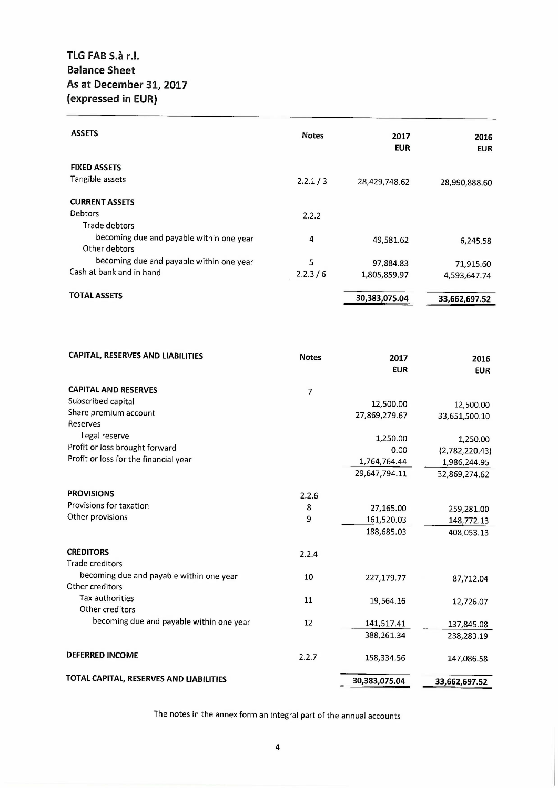### **TLG FAB S.iI r.l. Balance Sheet As at December 31,2017 (expressed in EUR)**

| <b>ASSETS</b>                            | <b>Notes</b> | 2017<br><b>EUR</b> | 2016<br><b>EUR</b> |
|------------------------------------------|--------------|--------------------|--------------------|
| <b>FIXED ASSETS</b>                      |              |                    |                    |
| Tangible assets                          | 2.2.1 / 3    | 28,429,748.62      | 28,990,888.60      |
| <b>CURRENT ASSETS</b>                    |              |                    |                    |
| Debtors                                  | 2.2.2        |                    |                    |
| Trade debtors                            |              |                    |                    |
| becoming due and payable within one year | 4            | 49,581.62          | 6,245.58           |
| Other debtors                            |              |                    |                    |
| becoming due and payable within one year | 5            | 97,884.83          | 71,915.60          |
| Cash at bank and in hand                 | 2.2.3/6      | 1,805,859.97       | 4,593,647.74       |
| <b>TOTAL ASSETS</b>                      |              | 30,383,075.04      |                    |
|                                          |              |                    | 33,662,697.52      |

| CAPITAL, RESERVES AND LIABILITIES        | <b>Notes</b>   | 2017<br><b>EUR</b> | 2016<br><b>EUR</b> |
|------------------------------------------|----------------|--------------------|--------------------|
| <b>CAPITAL AND RESERVES</b>              | $\overline{7}$ |                    |                    |
| Subscribed capital                       |                | 12,500.00          | 12,500.00          |
| Share premium account                    |                | 27,869,279.67      | 33,651,500.10      |
| Reserves                                 |                |                    |                    |
| Legal reserve                            |                | 1,250.00           | 1,250.00           |
| Profit or loss brought forward           |                | 0.00               | (2,782,220.43)     |
| Profit or loss for the financial year    |                | 1,764,764.44       | 1,986,244.95       |
|                                          |                | 29,647,794.11      | 32,869,274.62      |
| <b>PROVISIONS</b>                        | 2.2.6          |                    |                    |
| Provisions for taxation                  | 8              | 27,165.00          | 259,281.00         |
| Other provisions                         | 9              | 161,520.03         | 148,772.13         |
|                                          |                | 188,685.03         | 408,053.13         |
| <b>CREDITORS</b>                         | 2.2.4          |                    |                    |
| <b>Trade creditors</b>                   |                |                    |                    |
| becoming due and payable within one year | 10             | 227,179.77         | 87,712.04          |
| Other creditors                          |                |                    |                    |
| <b>Tax authorities</b>                   | 11             | 19,564.16          | 12,726.07          |
| Other creditors                          |                |                    |                    |
| becoming due and payable within one year | 12             | 141,517.41         | 137,845.08         |
|                                          |                | 388,261.34         | 238,283.19         |
| <b>DEFERRED INCOME</b>                   | 2.2.7          | 158,334.56         | 147,086.58         |
| TOTAL CAPITAL, RESERVES AND LIABILITIES  |                | 30,383,075.04      | 33,662,697.52      |

The notes in the annex form an integral part of the annual accounts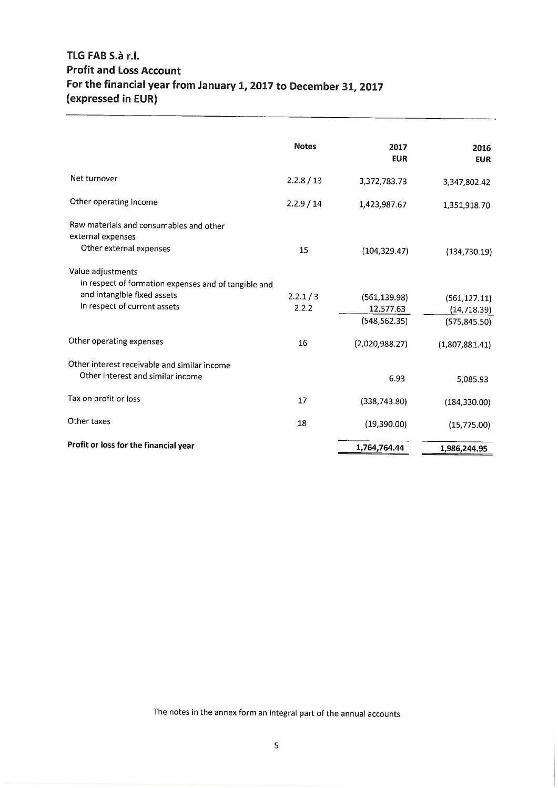## **TlG FAB S.iI r.l. Profit and loss Account For the financial year from January 1, 2017 to December 31,2017 (expressed in EUR)**

|                                                                           | <b>Notes</b> | 2017<br><b>EUR</b> | 2016<br><b>EUR</b> |
|---------------------------------------------------------------------------|--------------|--------------------|--------------------|
| Net turnover                                                              | 2.2.8 / 13   | 3,372,783.73       | 3,347,802.42       |
| Other operating income                                                    | 2.2.9 / 14   | 1,423,987.67       | 1,351,918.70       |
| Raw materials and consumables and other<br>external expenses              |              |                    |                    |
| Other external expenses                                                   | 15           | (104, 329.47)      | (134, 730.19)      |
| Value adjustments<br>in respect of formation expenses and of tangible and |              |                    |                    |
| and intangible fixed assets                                               | 2.2.1 / 3    | (561, 139.98)      | (561, 127.11)      |
| in respect of current assets                                              | 2.2.2        | 12,577.63          | (14, 718.39)       |
|                                                                           |              | (548, 562.35)      | (575, 845.50)      |
| Other operating expenses                                                  | 16           | (2,020,988.27)     | (1,807,881.41)     |
| Other interest receivable and similar income                              |              |                    |                    |
| Other interest and similar income                                         |              | 6.93               | 5,085.93           |
| Tax on profit or loss                                                     | 17           | (338, 743.80)      | (184, 330.00)      |
| Other taxes                                                               | 18           | (19,390.00)        | (15,775.00)        |
| Profit or loss for the financial year                                     |              | 1,764,764.44       | 1,986,244.95       |
|                                                                           |              |                    |                    |

The notes in the annex form an integral part of the annual accounts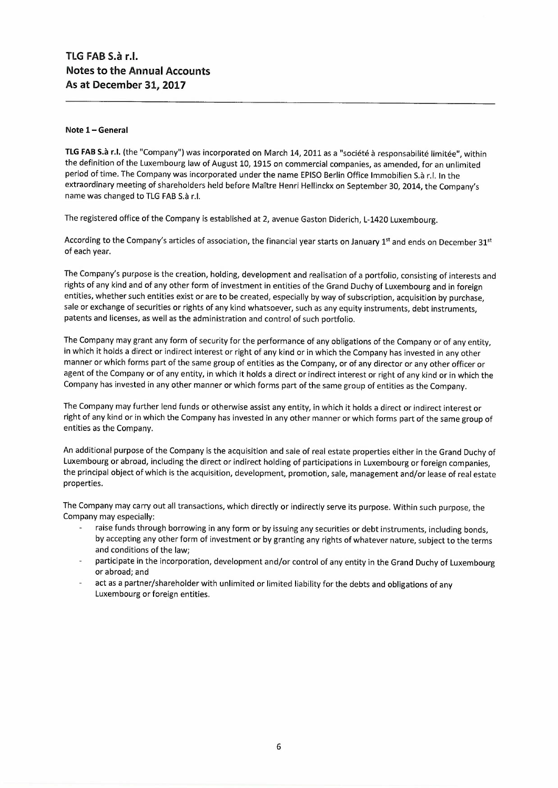#### Note 1 - General

TLG FAB S.à r.l. (the "Company") was incorporated on March 14, 2011 as a "société à responsabilité limitée", within the definition of the Luxembourg law of August 10, 1915 on commercial companies, as amended, for an unlimited period of time. The Company was incorporated under the name EPISO Berlin Office Immobilien S.à r.l. In the extraordinary meeting of shareholders held before Maitre Henri Hellinckx on September 30, 2014, the Company's name was changed to TLG FAB S.à r.l.

The registered office of the Company is established at 2, avenue Gaston Diderich, L-1420 Luxembourg.

According to the Company's articles of association, the financial year starts on January 1<sup>st</sup> and ends on December 31<sup>st</sup> of each year.

The Company's purpose is the creation, holding, development and realisation of a portfolio, consisting of interests and rights of any kind and of any other form of investment in entities of the Grand Duchy of Luxembourg and in foreign entities, whether such entities exist or are to be created, especially by way of subscription, acquisition by purchase, sale or exchange of securities or rights of any kind whatsoever, such as any equity instruments, debt instruments, patents and licenses, as well as the administration and control of such portfolio.

The Company may grant any form of security for the performance of any obligations of the Company or of any entity, in which it holds a direct or indirect interest or right of any kind or in which the Company has invested in any other manner or which forms part of the same group of entities as the Company, or of any director or any other officer or agent of the Company or of any entity, in which it holds a direct or indirect interest or right of any kind or in which the Company has invested in any other manner or which forms part of the same group of entities as the Company.

The Company may further lend funds or otherwise assist any entity, in which it holds a direct or indirect interest or right of any kind or in which the Company has invested in any other manner or which forms part of the same group of entities as the Company.

An additional purpose of the Company is the acquisition and sale of real estate properties either in the Grand Duchy of Luxembourg or abroad, including the direct or indirect holding of participations in Luxembourg or foreign companies, the principal object of which is the acquisition, development, promotion, sale, management and/or lease of real estate properties.

The Company may carry out all transactions, which directly or indirectly serve its purpose. Within such purpose, the Company may especially:

- raise funds through borrowing in any form or by issuing any securities or debt instruments, including bonds, by accepting any other form of investment or by granting any rights of whatever nature, subject to the terms and conditions of the law;
- participate in the incorporation, development and/or control of any entity in the Grand Duchy of Luxembourg or abroad; and
- act as a partner/shareholder with unlimited or limited liability for the debts and obligations of any Luxembourg or foreign entities.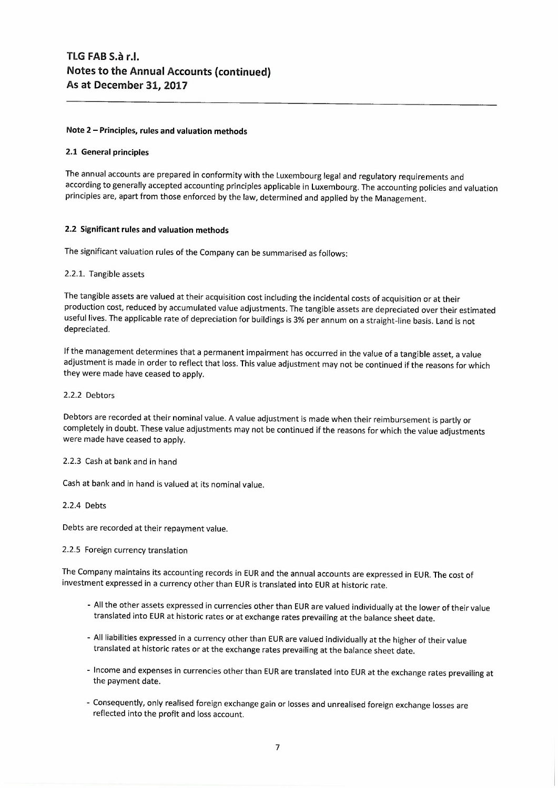### **Note 2 - Principles, rules and valuation methods**

### **2.1 General principles**

The annual accounts are prepared **in** conformity with the Luxembourg legal and regulatory requirements and according to generally accepted accounting principles applicable in Luxembourg. The accounting policies and valuation principles are, apart from those enforced by the law, determined and applied by the Management.

### **2.2 Significant rules and valuation methods**

The significant valuation rules of the Company can be summarised as follows:

### 2.2.1. Tangible assets

The tangible assets are valued at their acquisition cost including the incidental costs of acquisition or at their production cost, reduced by accumulated value adjustments. The tangible assets are depreciated over their estimated useful lives. The applicable rate of depreciation for buildings is 3% per annum on a straight-line basis. Land is not depreciated.

If the management determines that a permanent impairment has occurred in the value of a tangible asset, a value adjustment is made in order to reflect that loss. This value adjustment may not be continued if the reasons for which they were made have ceased to apply.

### 2.2.2 Debtors

Debtors are recorded at their nominal value. A value adjustment is made when their reimbursement is partly or completely in doubt. These value adjustments may not be continued if the reasons for which the value adjustments were made have ceased to apply.

#### 2.2.3 Cash at bank and in hand

Cash at bank and in hand is valued at its nominal value.

#### 2.2.4 Debts

Debts are recorded at their repayment value.

#### 2.2.5 Foreign currency translation

The Company maintains its accounting records in EUR and the annual accounts are expressed in EUR. The cost of investment expressed in a currency other than EUR is translated into EUR at historic rate.

- All the other assets expressed in currencies other than EUR are valued individually at the lower of their value translated into EUR at historic rates or at exchange rates prevailing at the balance sheet date.
- All liabilities expressed in a currency other than EURare valued individually at the higher of their value translated at historic rates or at the exchange rates prevailing at the balance sheet date.
- Income and expenses in currencies other than EUR are translated into EUR at the exchange rates prevailing at the payment date.
- Consequently, only realised foreign exchange gain or losses and unrealised foreign exchange losses are reflected into the profit and loss account.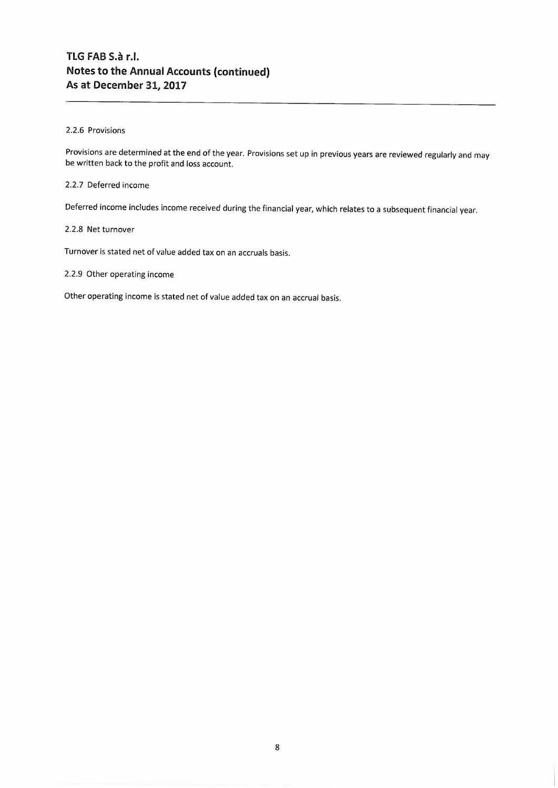### 2.2.6 Provisions

Provisions are determined at the end of the year. Provisions set up in previous years are reviewed regularly and may be written back to the profit and loss account.

### 2.2.7 Deferred income

Deferred income includes income received during the financial year, which relates to a subsequent financial year.

### 2.2.8 Net turnover

Turnover is stated net of value added tax on an accruals basis.

2.2.9 Other operating income

Other operating income is stated net of value added tax on an accrual basis.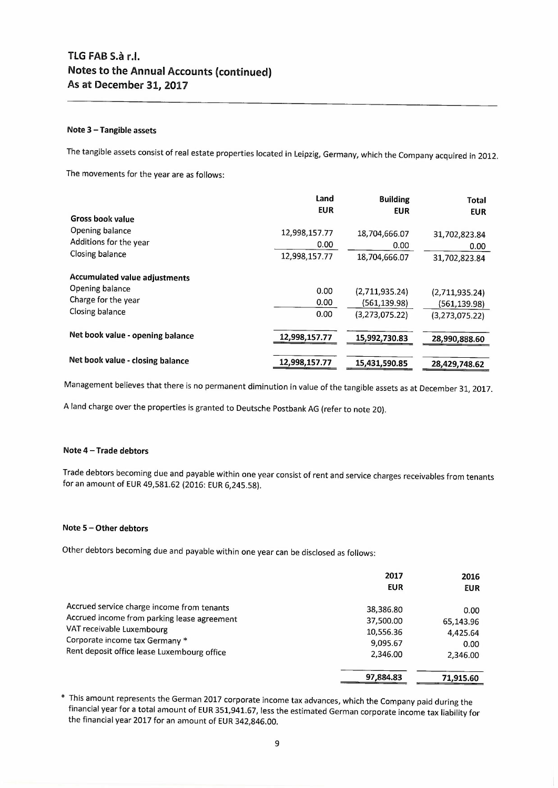### **Note 3 - Tangible assets**

The tangible assets consist of real estate properties located in Leipzig, Germany, which the Company acquired in 2012.

The movements for the year are as follows:

|                                      | Land          | <b>Building</b> | <b>Total</b>   |
|--------------------------------------|---------------|-----------------|----------------|
|                                      | <b>EUR</b>    | <b>EUR</b>      | <b>EUR</b>     |
| <b>Gross book value</b>              |               |                 |                |
| Opening balance                      | 12,998,157.77 | 18,704,666.07   | 31,702,823.84  |
| Additions for the year               | 0.00          | 0.00            | 0.00           |
| Closing balance                      | 12,998,157.77 | 18,704,666.07   | 31,702,823.84  |
| <b>Accumulated value adjustments</b> |               |                 |                |
| Opening balance                      | 0.00          | (2,711,935,24)  | (2,711,935.24) |
| Charge for the year                  | 0.00          | (561, 139.98)   | (561,139.98)   |
| Closing balance                      | 0.00          | (3,273,075.22)  | (3,273,075.22) |
| Net book value - opening balance     | 12,998,157.77 | 15,992,730.83   | 28,990,888.60  |
| Net book value - closing balance     | 12,998,157.77 | 15,431,590.85   | 28,429,748.62  |

Management believes that there is no permanent diminution in value of the tangible assets as at December 31, 2017.

A land charge over the properties is granted to Deutsche Postbank AG (refer to note 20).

#### **Note 4 - Trade debtors**

Trade debtors becoming due and payable within one year consist of rent and service charges receivables from tenants for an amount of **EUR** 49,581.62 (2016: **EUR** 6,245.58).

### **Note 5 - Other debtors**

Other debtors becoming due and payable within one year can be disclosed as follows:

|                                                                                                                                                                                                         | 2017<br><b>EUR</b>                                          | 2016<br><b>EUR</b>                                |
|---------------------------------------------------------------------------------------------------------------------------------------------------------------------------------------------------------|-------------------------------------------------------------|---------------------------------------------------|
| Accrued service charge income from tenants<br>Accrued income from parking lease agreement<br>VAT receivable Luxembourg<br>Corporate income tax Germany *<br>Rent deposit office lease Luxembourg office | 38,386.80<br>37,500.00<br>10,556.36<br>9,095.67<br>2.346.00 | 0.00<br>65,143.96<br>4,425.64<br>0.00<br>2,346.00 |
|                                                                                                                                                                                                         | 97,884.83                                                   | 71,915.60                                         |

\* This amount represents the German 2017 corporate income tax advances, which the Company paid during the financial year for a total amount of **EUR** 351,941.67, less the estimated German corporate income tax liability for the financial year 2017 for an amount of EUR342,846.00.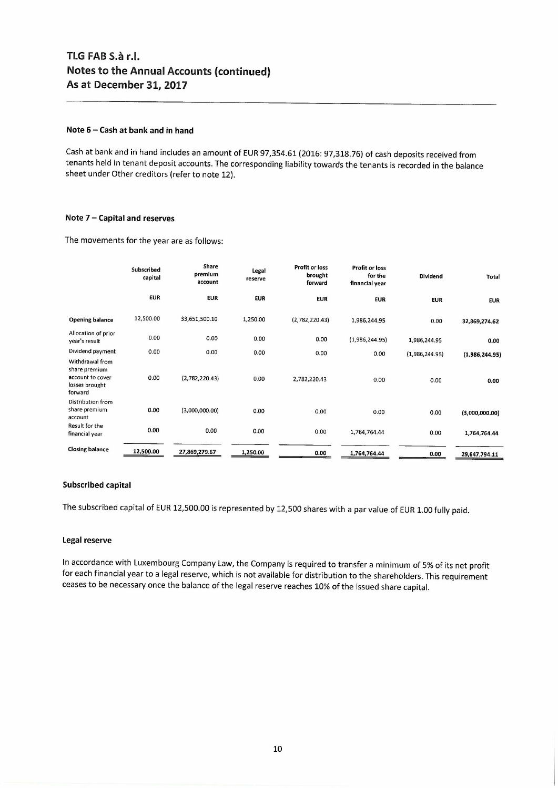### Note 6 - Cash at bank and in hand

Cash at bank and in hand includes an amount of EUR97,354.61 (2016: 97,318.76) of cash deposits received from tenants held in tenant deposit accounts. The corresponding liability towards the tenants is recorded in the balance sheet under Other creditors (refer to note 12).

### Note 7 - Capital and reserves

The movements for the year are as follows:

|                                                                                   | Subscribed<br>capital | Share<br>premium<br>account | Legal<br>reserve | Profit or loss<br>brought<br>forward | <b>Profit or loss</b><br>for the<br>financial year | Dividend       | Total          |
|-----------------------------------------------------------------------------------|-----------------------|-----------------------------|------------------|--------------------------------------|----------------------------------------------------|----------------|----------------|
|                                                                                   | <b>EUR</b>            | <b>EUR</b>                  | <b>EUR</b>       | <b>EUR</b>                           | <b>EUR</b>                                         | <b>EUR</b>     | <b>EUR</b>     |
| <b>Opening balance</b>                                                            | 12,500.00             | 33,651,500.10               | 1,250.00         | (2,782,220.43)                       | 1,986,244.95                                       | 0.00           | 32,869,274.62  |
| Allocation of prior<br>year's result                                              | 0.00                  | 0.00                        | 0.00             | 0.00                                 | (1,986,244.95)                                     | 1,986,244.95   | 0.00           |
| Dividend payment                                                                  | 0.00                  | 0.00                        | 0.00             | 0.00                                 | 0.00                                               | (1,986,244.95) | (1,986,244.95) |
| Withdrawal from<br>share premium<br>account to cover<br>losses brought<br>forward | 0.00                  | (2,782,220.43)              | 0.00             | 2,782,220.43                         | 0.00                                               | 0.00           | 0.00           |
| <b>Distribution from</b><br>share premium<br>account                              | 0.00                  | (3,000,000.00)              | 0.00             | 0.00                                 | 0.00                                               | 0.00           | (3,000,000.00) |
| Result for the<br>financial year                                                  | 0.00                  | 0.00                        | 0.00             | 0.00                                 | 1,764,764.44                                       | 0.00           | 1,764,764.44   |
| <b>Closing balance</b>                                                            | 12,500.00             | 27,869,279.67               | 1,250.00         | 0.00                                 | 1,764,764.44                                       | 0.00           | 29,647,794.11  |

### Subscribed capital

The subscribed capital of EUR 12,500.00 is represented by 12,500 shares with a par value of EUR 1.00 fully paid.

### Legal reserve

In accordance with Luxembourg Company Law, the Company is required to transfer a minimum of 5% of its net profit for each financial year to a legal reserve, which is not available for distribution to the shareholders. This requirement ceases to be necessary once the balance of the legal reserve reaches 10% of the issued share capital.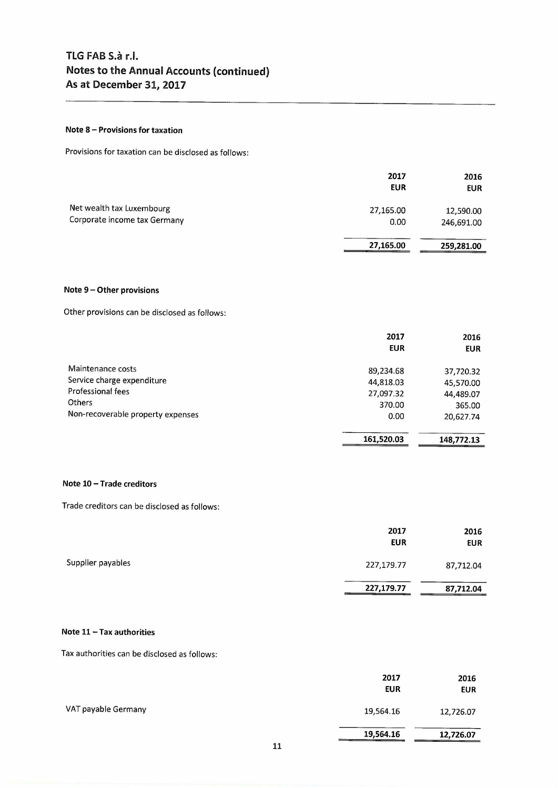### **Note 8 - Provisions for taxation**

Provisions for taxation can be disclosed as follows:

|                                                           | 2017<br><b>EUR</b> | 2016<br><b>EUR</b>      |
|-----------------------------------------------------------|--------------------|-------------------------|
| Net wealth tax Luxembourg<br>Corporate income tax Germany | 27,165.00<br>0.00  | 12,590.00<br>246,691.00 |
|                                                           | 27,165.00          | 259,281.00              |

### **Note 9 - Other provisions**

Other provisions can be disclosed as follows:

|                                   | 2017       | 2016       |
|-----------------------------------|------------|------------|
|                                   | <b>EUR</b> | <b>EUR</b> |
| Maintenance costs                 | 89,234.68  | 37,720.32  |
| Service charge expenditure        | 44,818.03  | 45,570.00  |
| Professional fees                 | 27,097.32  | 44,489.07  |
| <b>Others</b>                     | 370.00     | 365.00     |
| Non-recoverable property expenses | 0.00       | 20,627.74  |
|                                   | 161,520.03 | 148,772.13 |

#### **Note 10 - Trade creditors**

Trade creditors can be disclosed as follows:

|                   | 2017<br><b>EUR</b> | 2016<br><b>EUR</b> |
|-------------------|--------------------|--------------------|
| Supplier payables | 227,179.77         | 87,712.04          |
|                   | 227,179.77         | 87,712.04          |

### **Note 11 - Tax authorities**

Tax authorities can be disclosed as follows:

|                     | 2017<br><b>EUR</b> | 2016<br><b>EUR</b> |
|---------------------|--------------------|--------------------|
| VAT payable Germany | 19,564.16          | 12,726.07          |
|                     | 19,564.16          | 12,726.07          |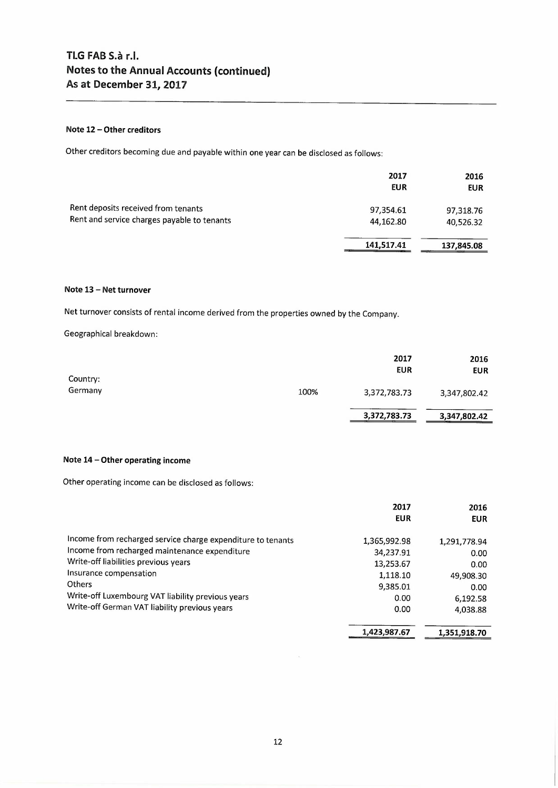### **Note 12 - Other creditors**

Other creditors becoming due and payable within one year can be disclosed as follows:

|                                                                                    | 2017<br>EUR            | 2016<br><b>EUR</b>     |
|------------------------------------------------------------------------------------|------------------------|------------------------|
| Rent deposits received from tenants<br>Rent and service charges payable to tenants | 97,354.61<br>44,162.80 | 97,318.76<br>40,526.32 |
|                                                                                    | 141,517.41             | 137,845.08             |

#### **Note 13 - Net turnover**

Net turnover consists of rental income derived from the properties owned by the Company.

Geographical breakdown:

| Country: |      | 2017<br>EUR  | 2016<br><b>EUR</b> |
|----------|------|--------------|--------------------|
| Germany  | 100% | 3,372,783.73 | 3,347,802.42       |
|          |      | 3,372,783.73 | 3,347,802.42       |

### **Note 14 - Other operating income**

Other operating income can be disclosed as follows:

|                                                             | 2017         | 2016         |
|-------------------------------------------------------------|--------------|--------------|
|                                                             | <b>EUR</b>   | <b>EUR</b>   |
| Income from recharged service charge expenditure to tenants | 1,365,992.98 |              |
| Income from recharged maintenance expenditure               |              | 1,291,778.94 |
|                                                             | 34,237.91    | 0.00         |
| Write-off liabilities previous years                        | 13,253.67    | 0.00         |
| Insurance compensation                                      | 1,118.10     | 49,908.30    |
| <b>Others</b>                                               | 9.385.01     | 0.00         |
| Write-off Luxembourg VAT liability previous years           | 0.00         | 6,192.58     |
| Write-off German VAT liability previous years               | 0.00         | 4,038.88     |
|                                                             | 1.423.987.67 | 1,351,918.70 |
|                                                             |              |              |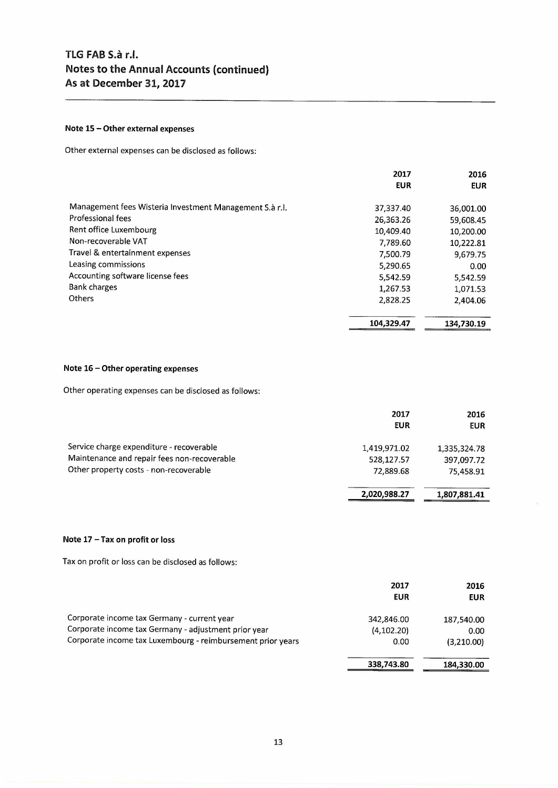### **Note 15 - Other external expenses**

Other external expenses can be disclosed as follows:

|                                                         | 2017       | 2016       |
|---------------------------------------------------------|------------|------------|
|                                                         | <b>EUR</b> | <b>EUR</b> |
| Management fees Wisteria Investment Management S.à r.l. |            |            |
| Professional fees                                       | 37,337.40  | 36,001.00  |
|                                                         | 26,363.26  | 59,608.45  |
| Rent office Luxembourg                                  | 10,409.40  | 10,200.00  |
| Non-recoverable VAT                                     | 7,789.60   | 10,222.81  |
| Travel & entertainment expenses                         | 7,500.79   | 9.679.75   |
| Leasing commissions                                     | 5,290.65   | 0.00       |
| Accounting software license fees                        | 5.542.59   | 5,542.59   |
| <b>Bank charges</b>                                     | 1,267.53   | 1,071.53   |
| <b>Others</b>                                           | 2,828.25   | 2,404.06   |
|                                                         | 104,329.47 | 134,730.19 |

### **Note** 16 - **Other operating expenses**

Other operating expenses can be disclosed as follows:

|                                                                                                                                   | 2017<br><b>EUR</b>                      | 2016<br><b>EUR</b>                      |
|-----------------------------------------------------------------------------------------------------------------------------------|-----------------------------------------|-----------------------------------------|
| Service charge expenditure - recoverable<br>Maintenance and repair fees non-recoverable<br>Other property costs - non-recoverable | 1,419,971.02<br>528,127.57<br>72,889.68 | 1,335,324.78<br>397,097.72<br>75,458.91 |
|                                                                                                                                   | 2,020,988.27                            | 1,807,881.41                            |

### **Note** 17 - **Tax on profit or** loss

Tax on profit or loss can be disclosed as follows:

|                                                                                                                                                                    | 2017<br><b>EUR</b>                | 2016<br>EUR                                   |
|--------------------------------------------------------------------------------------------------------------------------------------------------------------------|-----------------------------------|-----------------------------------------------|
| Corporate income tax Germany - current year<br>Corporate income tax Germany - adjustment prior year<br>Corporate income tax Luxembourg - reimbursement prior years | 342,846.00<br>(4, 102.20)<br>0.00 | 187.540.00<br>0.00 <sub>1</sub><br>(3,210.00) |
|                                                                                                                                                                    | 338,743.80                        | 184,330.00                                    |